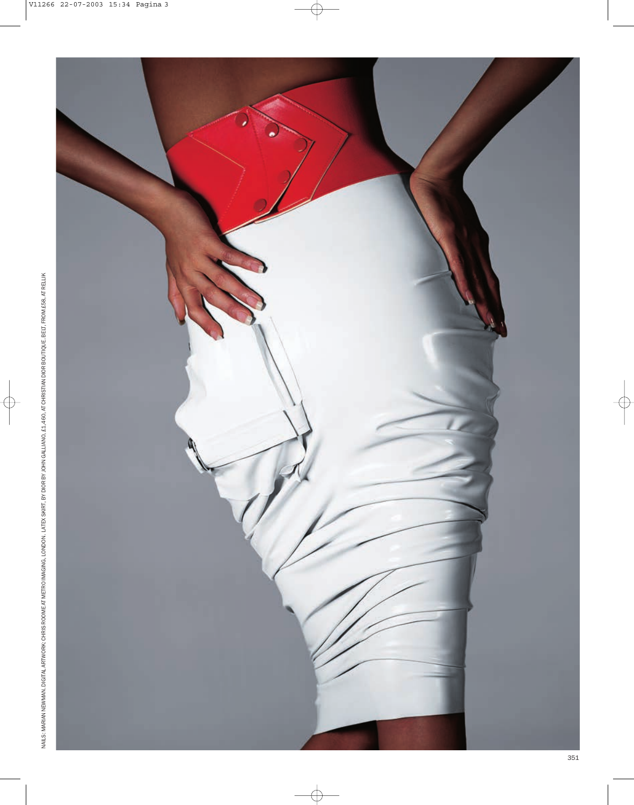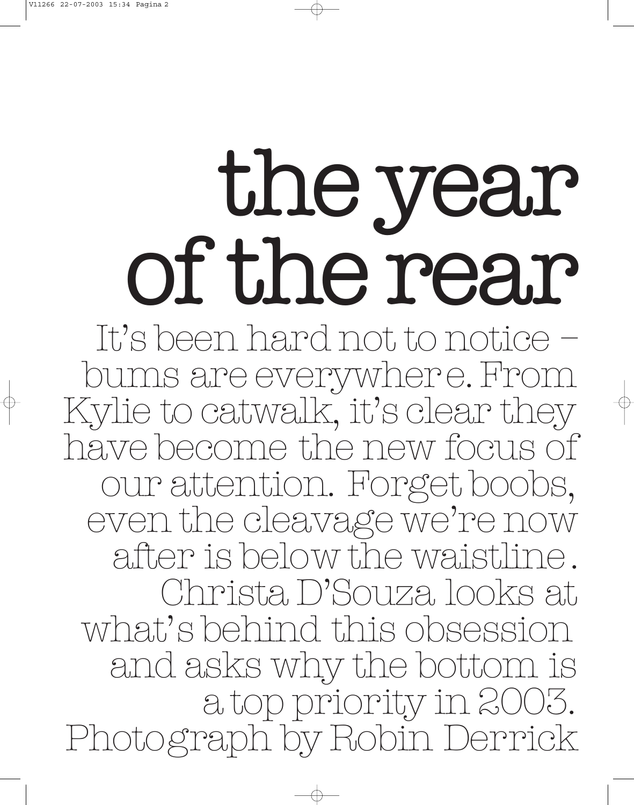## the year of the rear

It's been hard not to notice – bums are everywhere. From Kylie to catwalk, it's clear they have become the new focus of our attention. Forget boobs, even the cleavage we're now after is below the waistline. Christa D'Souza looks at what's behind this obsession and asks why the bottom is a top priority in 2003. Photograph by Robin Derrick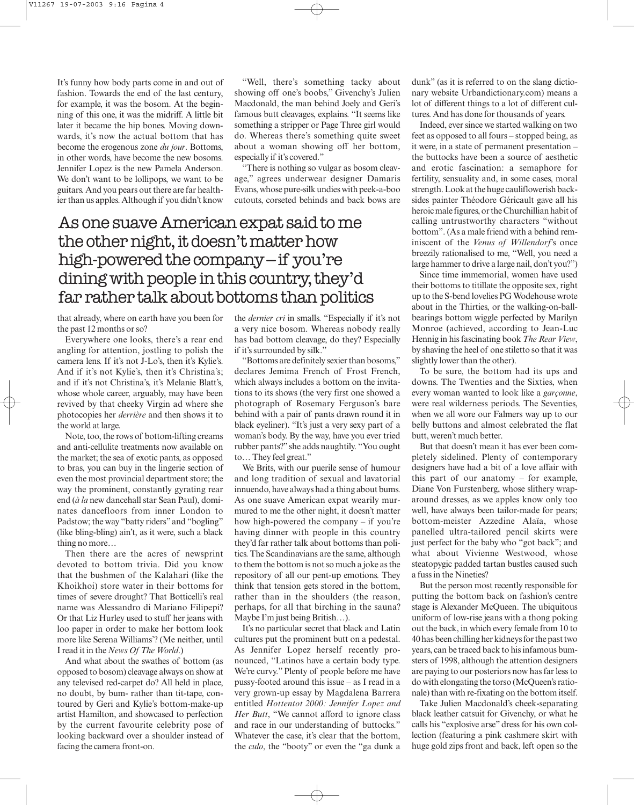It's funny how body parts come in and out of fashion. Towards the end of the last century, for example, it was the bosom. At the beginning of this one, it was the midriff. A little bit later it became the hip bones. Moving downwards, it's now the actual bottom that has become the erogenous zone *du jour*. Bottoms, in other words, have become the new bosoms. Jennifer Lopez is the new Pamela Anderson. We don't want to be lollipops, we want to be guitars. And you pears out there are far healthier than us apples. Although if you didn't know

"Well, there's something tacky about showing off one's boobs," Givenchy's Julien Macdonald, the man behind Joely and Geri's famous butt cleavages, explains. "It seems like something a stripper or Page Three girl would do. Whereas there's something quite sweet about a woman showing off her bottom, especially if it's covered."

"There is nothing so vulgar as bosom cleavage," agrees underwear designer Damaris Evans, whose pure-silk undies with peek-a-boo cutouts, corseted behinds and back bows are

## As one suave American expat said to me the other night, it doesn't matter how high-powered the company – if you're dining with people in this country, they'd far rather talk about bottoms than politics

that already, where on earth have you been for the past 12 months or so?

Everywhere one looks, there's a rear end angling for attention, jostling to polish the camera lens. If it's not J-Lo's, then it's Kylie's. And if it's not Kylie's, then it's Christina's; and if it's not Christina's, it's Melanie Blatt's, whose whole career, arguably, may have been revived by that cheeky Virgin ad where she photocopies her *derrière* and then shows it to the world at large.

Note, too, the rows of bottom-lifting creams and anti-cellulite treatments now available on the market; the sea of exotic pants, as opposed to bras, you can buy in the lingerie section of even the most provincial department store; the way the prominent, constantly gyrating rear end (*à la* new dancehall star Sean Paul), dominates dancefloors from inner London to Padstow; the way "batty riders" and "bogling" (like bling-bling) ain't, as it were, such a black thing no more…

Then there are the acres of newsprint devoted to bottom trivia. Did you know that the bushmen of the Kalahari (like the Khoikhoi) store water in their bottoms for times of severe drought? That Botticelli's real name was Alessandro di Mariano Filipepi? Or that Liz Hurley used to stuff her jeans with loo paper in order to make her bottom look more like Serena Williams'? (Me neither, until I read it in the *News Of The World*.)

And what about the swathes of bottom (as opposed to bosom) cleavage always on show at any televised red-carpet do? All held in place, no doubt, by bum- rather than tit-tape, contoured by Geri and Kylie's bottom-make-up artist Hamilton, and showcased to perfection by the current favourite celebrity pose of looking backward over a shoulder instead of facing the camera front-on.

the *dernier cri* in smalls. "Especially if it's not a very nice bosom. Whereas nobody really has bad bottom cleavage, do they? Especially if it's surrounded by silk."

"Bottoms are definitely sexier than bosoms," declares Jemima French of Frost French, which always includes a bottom on the invitations to its shows (the very first one showed a photograph of Rosemary Ferguson's bare behind with a pair of pants drawn round it in black eyeliner). "It's just a very sexy part of a woman's body. By the way, have you ever tried rubber pants?"she adds naughtily. "You ought to… They feel great."

We Brits, with our puerile sense of humour and long tradition of sexual and lavatorial innuendo, have always had a thing about bums. As one suave American expat wearily murmured to me the other night, it doesn't matter how high-powered the company – if you're having dinner with people in this country they'd far rather talk about bottoms than politics. The Scandinavians are the same, although to them the bottom is not so much a joke as the repository of all our pent-up emotions. They think that tension gets stored in the bottom, rather than in the shoulders (the reason, perhaps, for all that birching in the sauna? Maybe I'm just being British…).

It's no particular secret that black and Latin cultures put the prominent butt on a pedestal. As Jennifer Lopez herself recently pronounced, "Latinos have a certain body type. We're curvy." Plenty of people before me have pussy-footed around this issue – as I read in a very grown-up essay by Magdalena Barrera entitled *Hottentot 2000: Jennifer Lopez and Her Butt*, "We cannot afford to ignore class and race in our understanding of buttocks." Whatever the case, it's clear that the bottom, the *culo*, the "booty" or even the "ga dunk a

dunk" (as it is referred to on the slang dictionary website Urbandictionary.com) means a lot of different things to a lot of different cultures. And has done for thousands of years.

Indeed, ever since we started walking on two feet as opposed to all fours – stopped being, as it were, in a state of permanent presentation – the buttocks have been a source of aesthetic and erotic fascination: a semaphore for fertility, sensuality and, in some cases, moral strength. Look at the huge cauliflowerish backsides painter Théodore Géricault gave all his heroic male figures, or the Churchillian habit of calling untrustworthy characters "without bottom". (As a male friend with a behind reminiscent of the *Venus of Willendorf*'s once breezily rationalised to me, "Well, you need a large hammer to drive a large nail, don't you?")

Since time immemorial, women have used their bottoms to titillate the opposite sex, right up to the S-bend lovelies PG Wodehouse wrote about in the Thirties, or the walking-on-ballbearings bottom wiggle perfected by Marilyn Monroe (achieved, according to Jean-Luc Hennig in his fascinating book *The Rear View*, by shaving the heel of one stiletto so that it was slightly lower than the other).

To be sure, the bottom had its ups and downs. The Twenties and the Sixties, when every woman wanted to look like a *garçonne*, were real wilderness periods. The Seventies, when we all wore our Falmers way up to our belly buttons and almost celebrated the flat butt, weren't much better.

But that doesn't mean it has ever been completely sidelined. Plenty of contemporary designers have had a bit of a love affair with this part of our anatomy – for example, Diane Von Furstenberg, whose slithery wraparound dresses, as we apples know only too well, have always been tailor-made for pears; bottom-meister Azzedine Alaïa, whose panelled ultra-tailored pencil skirts were just perfect for the baby who "got back"; and what about Vivienne Westwood, whose steatopygic padded tartan bustles caused such a fuss in the Nineties?

But the person most recently responsible for putting the bottom back on fashion's centre stage is Alexander McQueen. The ubiquitous uniform of low-rise jeans with a thong poking out the back, in which every female from 10 to 40 has been chilling her kidneys for the past two years, can be traced back to his infamous bumsters of 1998, although the attention designers are paying to our posteriors now has far less to do with elongating the torso (McQueen's rationale) than with re-fixating on the bottom itself.

Take Julien Macdonald's cheek-separating black leather catsuit for Givenchy, or what he calls his "explosive arse" dress for his own collection (featuring a pink cashmere skirt with huge gold zips front and back, left open so the